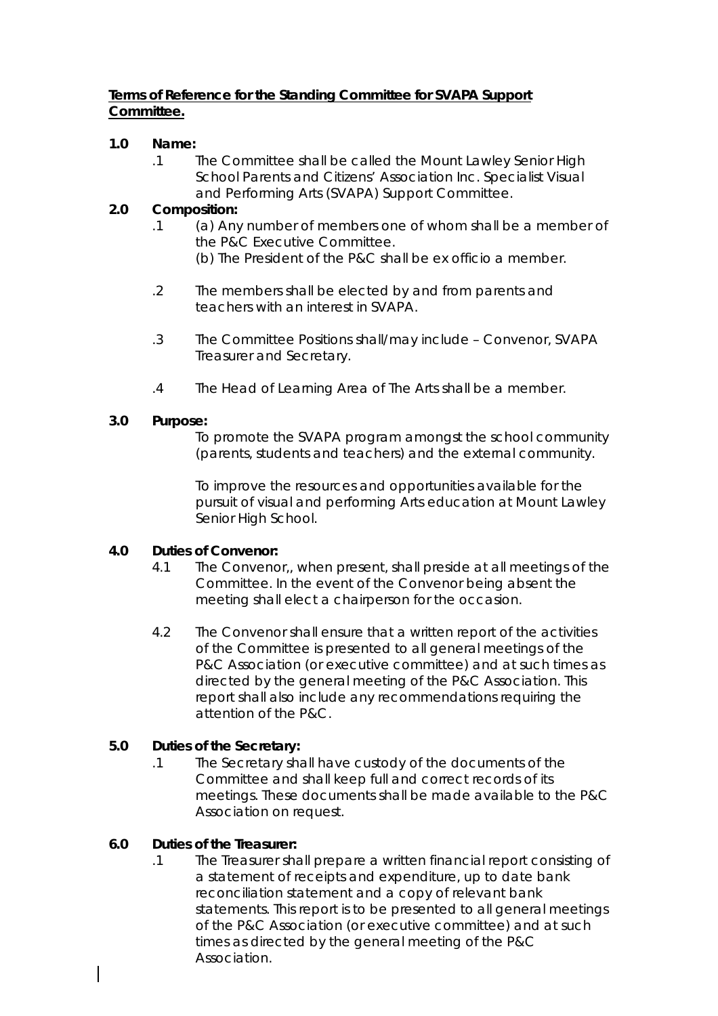# **Terms of Reference for the Standing Committee for SVAPA Support Committee.**

#### **1.0 Name:**

.1 The Committee shall be called the Mount Lawley Senior High School Parents and Citizens' Association Inc. Specialist Visual and Performing Arts (SVAPA) Support Committee.

# **2.0 Composition:**

- .1 (a) Any number of members one of whom shall be a member of the P&C Executive Committee.
	- (b) The President of the P&C shall be ex officio a member.
- .2 The members shall be elected by and from parents and teachers with an interest in SVAPA.
- .3 The Committee Positions shall/may include Convenor, SVAPA Treasurer and Secretary.
- .4 The Head of Learning Area of The Arts shall be a member.

#### **3.0 Purpose:**

To promote the SVAPA program amongst the school community (parents, students and teachers) and the external community.

To improve the resources and opportunities available for the pursuit of visual and performing Arts education at Mount Lawley Senior High School.

#### **4.0 Duties of Convenor:**

- 4.1 The Convenor,, when present, shall preside at all meetings of the Committee. In the event of the Convenor being absent the meeting shall elect a chairperson for the occasion.
- 4.2 The Convenor shall ensure that a written report of the activities of the Committee is presented to all general meetings of the P&C Association (or executive committee) and at such times as directed by the general meeting of the P&C Association. This report shall also include any recommendations requiring the attention of the P&C.

# **5.0 Duties of the Secretary:**

.1 The Secretary shall have custody of the documents of the Committee and shall keep full and correct records of its meetings. These documents shall be made available to the P&C Association on request.

# **6.0 Duties of the Treasurer:**

.1 The Treasurer shall prepare a written financial report consisting of a statement of receipts and expenditure, up to date bank reconciliation statement and a copy of relevant bank statements. This report is to be presented to all general meetings of the P&C Association (or executive committee) and at such times as directed by the general meeting of the P&C Association.